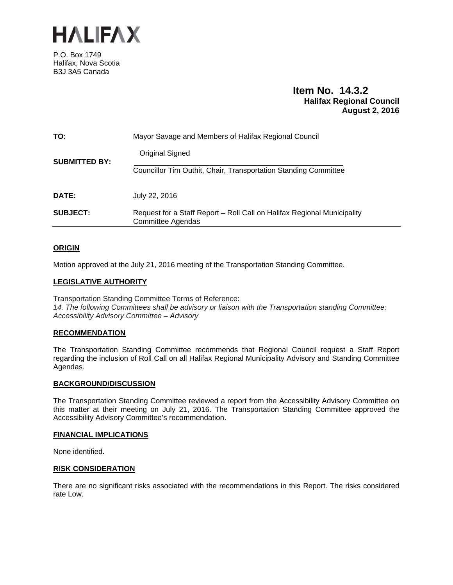

P.O. Box 1749 Halifax, Nova Scotia B3J 3A5 Canada

# **Item No. 14.3.2 Halifax Regional Council August 2, 2016**

| TO:                  | Mayor Savage and Members of Halifax Regional Council                                                |
|----------------------|-----------------------------------------------------------------------------------------------------|
| <b>SUBMITTED BY:</b> | Original Signed                                                                                     |
|                      | Councillor Tim Outhit, Chair, Transportation Standing Committee                                     |
| DATE:                | July 22, 2016                                                                                       |
| <b>SUBJECT:</b>      | Request for a Staff Report – Roll Call on Halifax Regional Municipality<br><b>Committee Agendas</b> |

# **ORIGIN**

Motion approved at the July 21, 2016 meeting of the Transportation Standing Committee.

# **LEGISLATIVE AUTHORITY**

Transportation Standing Committee Terms of Reference: *14. The following Committees shall be advisory or liaison with the Transportation standing Committee: Accessibility Advisory Committee – Advisory* 

# **RECOMMENDATION**

The Transportation Standing Committee recommends that Regional Council request a Staff Report regarding the inclusion of Roll Call on all Halifax Regional Municipality Advisory and Standing Committee Agendas.

# **BACKGROUND/DISCUSSION**

The Transportation Standing Committee reviewed a report from the Accessibility Advisory Committee on this matter at their meeting on July 21, 2016. The Transportation Standing Committee approved the Accessibility Advisory Committee's recommendation.

# **FINANCIAL IMPLICATIONS**

None identified.

# **RISK CONSIDERATION**

There are no significant risks associated with the recommendations in this Report. The risks considered rate Low.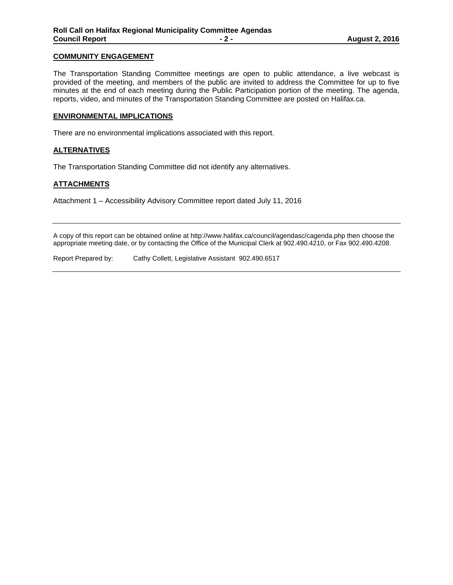### **COMMUNITY ENGAGEMENT**

The Transportation Standing Committee meetings are open to public attendance, a live webcast is provided of the meeting, and members of the public are invited to address the Committee for up to five minutes at the end of each meeting during the Public Participation portion of the meeting. The agenda, reports, video, and minutes of the Transportation Standing Committee are posted on Halifax.ca.

#### **ENVIRONMENTAL IMPLICATIONS**

There are no environmental implications associated with this report.

# **ALTERNATIVES**

The Transportation Standing Committee did not identify any alternatives.

#### **ATTACHMENTS**

Attachment 1 – Accessibility Advisory Committee report dated July 11, 2016

A copy of this report can be obtained online at http://www.halifax.ca/council/agendasc/cagenda.php then choose the appropriate meeting date, or by contacting the Office of the Municipal Clerk at 902.490.4210, or Fax 902.490.4208.

Report Prepared by: Cathy Collett, Legislative Assistant 902.490.6517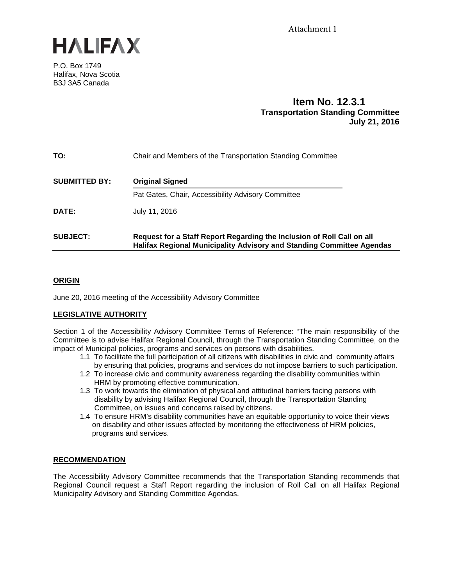

P.O. Box 1749 Halifax, Nova Scotia B3J 3A5 Canada

# **Item No. 12.3.1 Transportation Standing Committee July 21, 2016**

| TO:                  | Chair and Members of the Transportation Standing Committee                                                                                      |
|----------------------|-------------------------------------------------------------------------------------------------------------------------------------------------|
| <b>SUBMITTED BY:</b> | <b>Original Signed</b>                                                                                                                          |
|                      | Pat Gates, Chair, Accessibility Advisory Committee                                                                                              |
| <b>DATE:</b>         | July 11, 2016                                                                                                                                   |
| <b>SUBJECT:</b>      | Request for a Staff Report Regarding the Inclusion of Roll Call on all<br>Halifax Regional Municipality Advisory and Standing Committee Agendas |

# **ORIGIN**

June 20, 2016 meeting of the Accessibility Advisory Committee

# **LEGISLATIVE AUTHORITY**

Section 1 of the Accessibility Advisory Committee Terms of Reference: "The main responsibility of the Committee is to advise Halifax Regional Council, through the Transportation Standing Committee, on the impact of Municipal policies, programs and services on persons with disabilities.

- 1.1 To facilitate the full participation of all citizens with disabilities in civic and community affairs by ensuring that policies, programs and services do not impose barriers to such participation.
- 1.2 To increase civic and community awareness regarding the disability communities within HRM by promoting effective communication.
- 1.3 To work towards the elimination of physical and attitudinal barriers facing persons with disability by advising Halifax Regional Council, through the Transportation Standing Committee, on issues and concerns raised by citizens.
- 1.4 To ensure HRM's disability communities have an equitable opportunity to voice their views on disability and other issues affected by monitoring the effectiveness of HRM policies, programs and services.

# **RECOMMENDATION**

The Accessibility Advisory Committee recommends that the Transportation Standing recommends that Regional Council request a Staff Report regarding the inclusion of Roll Call on all Halifax Regional Municipality Advisory and Standing Committee Agendas.